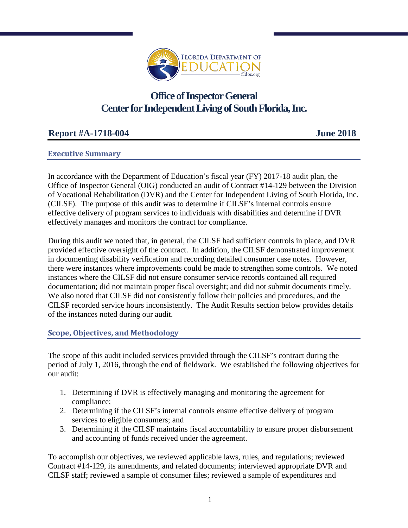

# **Office of Inspector General Center for Independent Living of South Florida, Inc.**

# **Report #A-1718-004 June 2018**

## **Executive Summary**

In accordance with the Department of Education's fiscal year (FY) 2017-18 audit plan, the Office of Inspector General (OIG) conducted an audit of Contract #14-129 between the Division of Vocational Rehabilitation (DVR) and the Center for Independent Living of South Florida, Inc. (CILSF). The purpose of this audit was to determine if CILSF's internal controls ensure effective delivery of program services to individuals with disabilities and determine if DVR effectively manages and monitors the contract for compliance.

During this audit we noted that, in general, the CILSF had sufficient controls in place, and DVR provided effective oversight of the contract. In addition, the CILSF demonstrated improvement in documenting disability verification and recording detailed consumer case notes. However, there were instances where improvements could be made to strengthen some controls. We noted instances where the CILSF did not ensure consumer service records contained all required documentation; did not maintain proper fiscal oversight; and did not submit documents timely. We also noted that CILSF did not consistently follow their policies and procedures, and the CILSF recorded service hours inconsistently. The Audit Results section below provides details of the instances noted during our audit.

#### **Scope, Objectives, and Methodology**

The scope of this audit included services provided through the CILSF's contract during the period of July 1, 2016, through the end of fieldwork. We established the following objectives for our audit:

- 1. Determining if DVR is effectively managing and monitoring the agreement for compliance;
- 2. Determining if the CILSF's internal controls ensure effective delivery of program services to eligible consumers; and
- 3. Determining if the CILSF maintains fiscal accountability to ensure proper disbursement and accounting of funds received under the agreement.

To accomplish our objectives, we reviewed applicable laws, rules, and regulations; reviewed Contract #14-129, its amendments, and related documents; interviewed appropriate DVR and CILSF staff; reviewed a sample of consumer files; reviewed a sample of expenditures and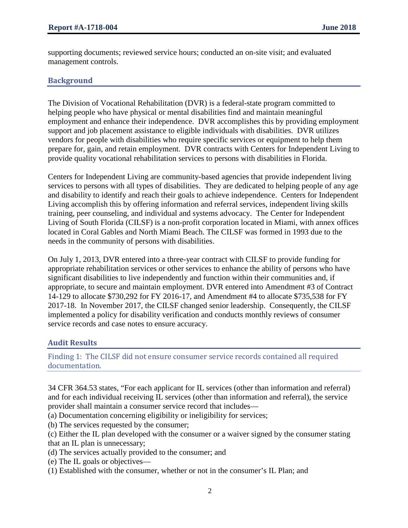supporting documents; reviewed service hours; conducted an on-site visit; and evaluated management controls.

#### **Background**

The Division of Vocational Rehabilitation (DVR) is a federal-state program committed to helping people who have physical or mental disabilities find and maintain meaningful employment and enhance their independence. DVR accomplishes this by providing employment support and job placement assistance to eligible individuals with disabilities. DVR utilizes vendors for people with disabilities who require specific services or equipment to help them prepare for, gain, and retain employment. DVR contracts with Centers for Independent Living to provide quality vocational rehabilitation services to persons with disabilities in Florida.

Centers for Independent Living are community-based agencies that provide independent living services to persons with all types of disabilities. They are dedicated to helping people of any age and disability to identify and reach their goals to achieve independence. Centers for Independent Living accomplish this by offering information and referral services, independent living skills training, peer counseling, and individual and systems advocacy. The Center for Independent Living of South Florida (CILSF) is a non-profit corporation located in Miami, with annex offices located in Coral Gables and North Miami Beach. The CILSF was formed in 1993 due to the needs in the community of persons with disabilities.

On July 1, 2013, DVR entered into a three-year contract with CILSF to provide funding for appropriate rehabilitation services or other services to enhance the ability of persons who have significant disabilities to live independently and function within their communities and, if appropriate, to secure and maintain employment. DVR entered into Amendment #3 of Contract 14-129 to allocate \$730,292 for FY 2016-17, and Amendment #4 to allocate \$735,538 for FY 2017-18. In November 2017, the CILSF changed senior leadership. Consequently, the CILSF implemented a policy for disability verification and conducts monthly reviews of consumer service records and case notes to ensure accuracy.

#### **Audit Results**

Finding 1: The CILSF did not ensure consumer service records contained all required documentation.

34 CFR 364.53 states, "For each applicant for IL services (other than information and referral) and for each individual receiving IL services (other than information and referral), the service provider shall maintain a consumer service record that includes—

(a) Documentation concerning eligibility or ineligibility for services;

- (b) The services requested by the consumer;
- (c) Either the IL plan developed with the consumer or a waiver signed by the consumer stating that an IL plan is unnecessary;
- (d) The services actually provided to the consumer; and
- (e) The IL goals or objectives—
- (1) Established with the consumer, whether or not in the consumer's IL Plan; and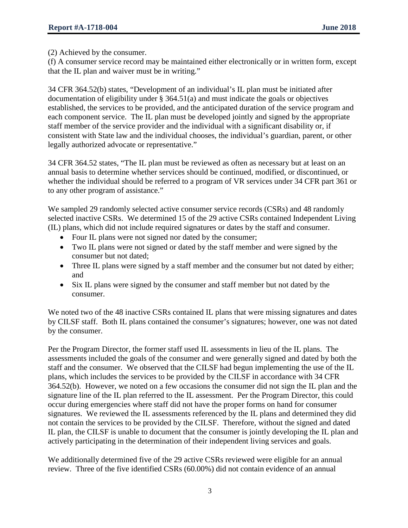(2) Achieved by the consumer.

(f) A consumer service record may be maintained either electronically or in written form, except that the IL plan and waiver must be in writing."

34 CFR 364.52(b) states, "Development of an individual's IL plan must be initiated after documentation of eligibility under § 364.51(a) and must indicate the goals or objectives established, the services to be provided, and the anticipated duration of the service program and each component service. The IL plan must be developed jointly and signed by the appropriate staff member of the service provider and the individual with a significant disability or, if consistent with State law and the individual chooses, the individual's guardian, parent, or other legally authorized advocate or representative."

34 CFR 364.52 states, "The IL plan must be reviewed as often as necessary but at least on an annual basis to determine whether services should be continued, modified, or discontinued, or whether the individual should be referred to a program of VR services under 34 CFR part 361 or to any other program of assistance."

We sampled 29 randomly selected active consumer service records (CSRs) and 48 randomly selected inactive CSRs. We determined 15 of the 29 active CSRs contained Independent Living (IL) plans, which did not include required signatures or dates by the staff and consumer.

- Four IL plans were not signed nor dated by the consumer;
- Two IL plans were not signed or dated by the staff member and were signed by the consumer but not dated;
- Three IL plans were signed by a staff member and the consumer but not dated by either; and
- Six IL plans were signed by the consumer and staff member but not dated by the consumer.

We noted two of the 48 inactive CSRs contained IL plans that were missing signatures and dates by CILSF staff. Both IL plans contained the consumer's signatures; however, one was not dated by the consumer.

Per the Program Director, the former staff used IL assessments in lieu of the IL plans. The assessments included the goals of the consumer and were generally signed and dated by both the staff and the consumer. We observed that the CILSF had begun implementing the use of the IL plans, which includes the services to be provided by the CILSF in accordance with 34 CFR 364.52(b). However, we noted on a few occasions the consumer did not sign the IL plan and the signature line of the IL plan referred to the IL assessment. Per the Program Director, this could occur during emergencies where staff did not have the proper forms on hand for consumer signatures. We reviewed the IL assessments referenced by the IL plans and determined they did not contain the services to be provided by the CILSF. Therefore, without the signed and dated IL plan, the CILSF is unable to document that the consumer is jointly developing the IL plan and actively participating in the determination of their independent living services and goals.

We additionally determined five of the 29 active CSRs reviewed were eligible for an annual review. Three of the five identified CSRs (60.00%) did not contain evidence of an annual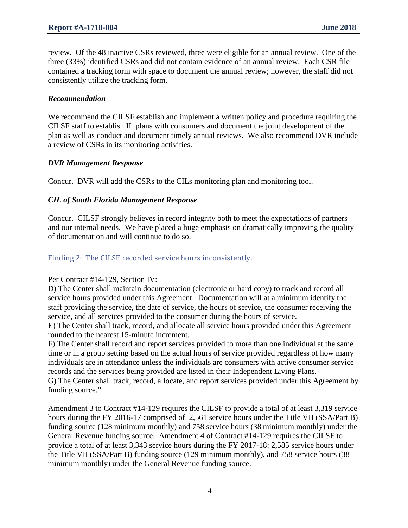review. Of the 48 inactive CSRs reviewed, three were eligible for an annual review. One of the three (33%) identified CSRs and did not contain evidence of an annual review. Each CSR file contained a tracking form with space to document the annual review; however, the staff did not consistently utilize the tracking form.

#### *Recommendation*

We recommend the CILSF establish and implement a written policy and procedure requiring the CILSF staff to establish IL plans with consumers and document the joint development of the plan as well as conduct and document timely annual reviews. We also recommend DVR include a review of CSRs in its monitoring activities.

#### *DVR Management Response*

Concur. DVR will add the CSRs to the CILs monitoring plan and monitoring tool.

#### *CIL of South Florida Management Response*

Concur. CILSF strongly believes in record integrity both to meet the expectations of partners and our internal needs. We have placed a huge emphasis on dramatically improving the quality of documentation and will continue to do so.

#### Finding 2: The CILSF recorded service hours inconsistently.

#### Per Contract #14-129, Section IV:

D) The Center shall maintain documentation (electronic or hard copy) to track and record all service hours provided under this Agreement. Documentation will at a minimum identify the staff providing the service, the date of service, the hours of service, the consumer receiving the service, and all services provided to the consumer during the hours of service.

E) The Center shall track, record, and allocate all service hours provided under this Agreement rounded to the nearest 15-minute increment.

F) The Center shall record and report services provided to more than one individual at the same time or in a group setting based on the actual hours of service provided regardless of how many individuals are in attendance unless the individuals are consumers with active consumer service records and the services being provided are listed in their Independent Living Plans.

G) The Center shall track, record, allocate, and report services provided under this Agreement by funding source."

Amendment 3 to Contract #14-129 requires the CILSF to provide a total of at least 3,319 service hours during the FY 2016-17 comprised of 2,561 service hours under the Title VII (SSA/Part B) funding source (128 minimum monthly) and 758 service hours (38 minimum monthly) under the General Revenue funding source. Amendment 4 of Contract #14-129 requires the CILSF to provide a total of at least 3,343 service hours during the FY 2017-18: 2,585 service hours under the Title VII (SSA/Part B) funding source (129 minimum monthly), and 758 service hours (38 minimum monthly) under the General Revenue funding source.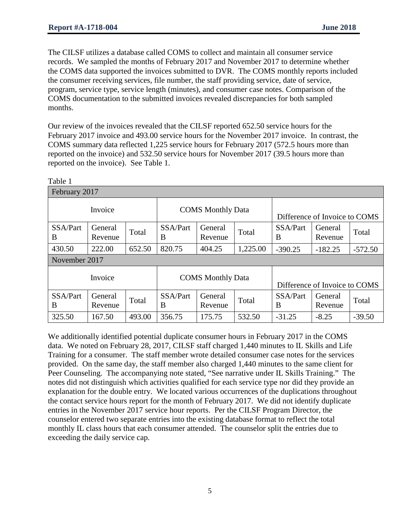The CILSF utilizes a database called COMS to collect and maintain all consumer service records. We sampled the months of February 2017 and November 2017 to determine whether the COMS data supported the invoices submitted to DVR. The COMS monthly reports included the consumer receiving services, file number, the staff providing service, date of service, program, service type, service length (minutes), and consumer case notes. Comparison of the COMS documentation to the submitted invoices revealed discrepancies for both sampled months.

Our review of the invoices revealed that the CILSF reported 652.50 service hours for the February 2017 invoice and 493.00 service hours for the November 2017 invoice. In contrast, the COMS summary data reflected 1,225 service hours for February 2017 (572.5 hours more than reported on the invoice) and 532.50 service hours for November 2017 (39.5 hours more than reported on the invoice). See Table 1.

| Table 1       |                    |        |                          |                    |          |                               |                    |           |  |  |  |  |
|---------------|--------------------|--------|--------------------------|--------------------|----------|-------------------------------|--------------------|-----------|--|--|--|--|
| February 2017 |                    |        |                          |                    |          |                               |                    |           |  |  |  |  |
| Invoice       |                    |        | <b>COMS</b> Monthly Data |                    |          | Difference of Invoice to COMS |                    |           |  |  |  |  |
| SSA/Part<br>B | General<br>Revenue | Total  | SSA/Part<br>B            | General<br>Revenue | Total    | SSA/Part<br>B                 | General<br>Revenue | Total     |  |  |  |  |
| 430.50        | 222.00             | 652.50 | 820.75                   | 404.25             | 1,225.00 | $-390.25$                     | $-182.25$          | $-572.50$ |  |  |  |  |
| November 2017 |                    |        |                          |                    |          |                               |                    |           |  |  |  |  |
| Invoice       |                    |        | <b>COMS</b> Monthly Data |                    |          | Difference of Invoice to COMS |                    |           |  |  |  |  |
| SSA/Part<br>B | General<br>Revenue | Total  | SSA/Part<br>B            | General<br>Revenue | Total    | SSA/Part<br>B                 | General<br>Revenue | Total     |  |  |  |  |
| 325.50        | 167.50             | 493.00 | 356.75                   | 175.75             | 532.50   | $-31.25$                      | $-8.25$            | $-39.50$  |  |  |  |  |

We additionally identified potential duplicate consumer hours in February 2017 in the COMS data. We noted on February 28, 2017, CILSF staff charged 1,440 minutes to IL Skills and Life Training for a consumer. The staff member wrote detailed consumer case notes for the services provided. On the same day, the staff member also charged 1,440 minutes to the same client for Peer Counseling. The accompanying note stated, "See narrative under IL Skills Training." The notes did not distinguish which activities qualified for each service type nor did they provide an explanation for the double entry. We located various occurrences of the duplications throughout the contact service hours report for the month of February 2017. We did not identify duplicate entries in the November 2017 service hour reports. Per the CILSF Program Director, the counselor entered two separate entries into the existing database format to reflect the total monthly IL class hours that each consumer attended. The counselor split the entries due to exceeding the daily service cap.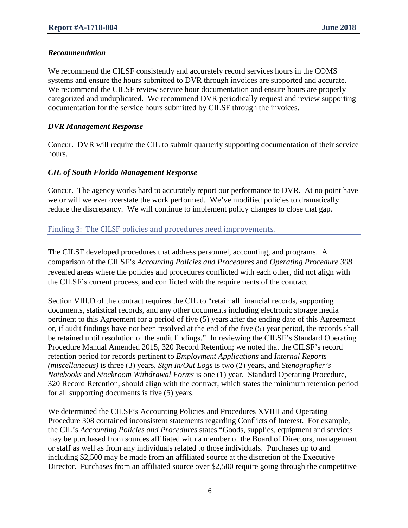#### *Recommendation*

We recommend the CILSF consistently and accurately record services hours in the COMS systems and ensure the hours submitted to DVR through invoices are supported and accurate. We recommend the CILSF review service hour documentation and ensure hours are properly categorized and unduplicated. We recommend DVR periodically request and review supporting documentation for the service hours submitted by CILSF through the invoices.

### *DVR Management Response*

Concur. DVR will require the CIL to submit quarterly supporting documentation of their service hours.

## *CIL of South Florida Management Response*

Concur. The agency works hard to accurately report our performance to DVR. At no point have we or will we ever overstate the work performed. We've modified policies to dramatically reduce the discrepancy. We will continue to implement policy changes to close that gap.

## Finding 3: The CILSF policies and procedures need improvements.

The CILSF developed procedures that address personnel, accounting, and programs. A comparison of the CILSF's *Accounting Policies and Procedures* and *Operating Procedure 308* revealed areas where the policies and procedures conflicted with each other, did not align with the CILSF's current process, and conflicted with the requirements of the contract.

Section VIII.D of the contract requires the CIL to "retain all financial records, supporting documents, statistical records, and any other documents including electronic storage media pertinent to this Agreement for a period of five (5) years after the ending date of this Agreement or, if audit findings have not been resolved at the end of the five (5) year period, the records shall be retained until resolution of the audit findings." In reviewing the CILSF's Standard Operating Procedure Manual Amended 2015, 320 Record Retention; we noted that the CILSF's record retention period for records pertinent to *Employment Applications* and *Internal Reports (miscellaneous)* is three (3) years, *Sign In/Out Logs* is two (2) years, and *Stenographer's Notebooks* and *Stockroom Withdrawal Forms* is one (1) year. Standard Operating Procedure, 320 Record Retention, should align with the contract, which states the minimum retention period for all supporting documents is five (5) years.

We determined the CILSF's Accounting Policies and Procedures XVIIII and Operating Procedure 308 contained inconsistent statements regarding Conflicts of Interest. For example, the CIL's *Accounting Policies and Procedures* states "Goods, supplies, equipment and services may be purchased from sources affiliated with a member of the Board of Directors, management or staff as well as from any individuals related to those individuals. Purchases up to and including \$2,500 may be made from an affiliated source at the discretion of the Executive Director. Purchases from an affiliated source over \$2,500 require going through the competitive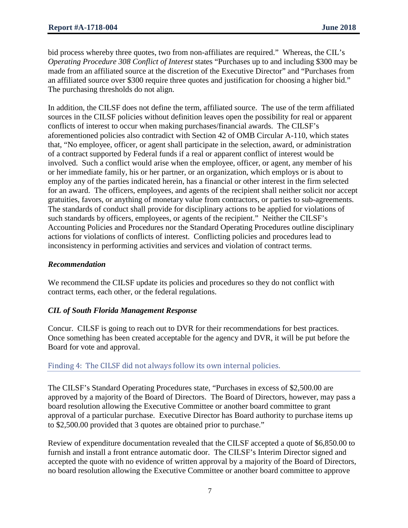bid process whereby three quotes, two from non-affiliates are required." Whereas, the CIL's *Operating Procedure 308 Conflict of Interest* states "Purchases up to and including \$300 may be made from an affiliated source at the discretion of the Executive Director" and "Purchases from an affiliated source over \$300 require three quotes and justification for choosing a higher bid." The purchasing thresholds do not align.

In addition, the CILSF does not define the term, affiliated source. The use of the term affiliated sources in the CILSF policies without definition leaves open the possibility for real or apparent conflicts of interest to occur when making purchases/financial awards. The CILSF's aforementioned policies also contradict with Section 42 of OMB Circular A-110, which states that, "No employee, officer, or agent shall participate in the selection, award, or administration of a contract supported by Federal funds if a real or apparent conflict of interest would be involved. Such a conflict would arise when the employee, officer, or agent, any member of his or her immediate family, his or her partner, or an organization, which employs or is about to employ any of the parties indicated herein, has a financial or other interest in the firm selected for an award. The officers, employees, and agents of the recipient shall neither solicit nor accept gratuities, favors, or anything of monetary value from contractors, or parties to sub-agreements. The standards of conduct shall provide for disciplinary actions to be applied for violations of such standards by officers, employees, or agents of the recipient." Neither the CILSF's Accounting Policies and Procedures nor the Standard Operating Procedures outline disciplinary actions for violations of conflicts of interest. Conflicting policies and procedures lead to inconsistency in performing activities and services and violation of contract terms.

#### *Recommendation*

We recommend the CILSF update its policies and procedures so they do not conflict with contract terms, each other, or the federal regulations.

#### *CIL of South Florida Management Response*

Concur. CILSF is going to reach out to DVR for their recommendations for best practices. Once something has been created acceptable for the agency and DVR, it will be put before the Board for vote and approval.

#### Finding 4: The CILSF did not always follow its own internal policies.

The CILSF's Standard Operating Procedures state, "Purchases in excess of \$2,500.00 are approved by a majority of the Board of Directors. The Board of Directors, however, may pass a board resolution allowing the Executive Committee or another board committee to grant approval of a particular purchase. Executive Director has Board authority to purchase items up to \$2,500.00 provided that 3 quotes are obtained prior to purchase."

Review of expenditure documentation revealed that the CILSF accepted a quote of \$6,850.00 to furnish and install a front entrance automatic door. The CILSF's Interim Director signed and accepted the quote with no evidence of written approval by a majority of the Board of Directors, no board resolution allowing the Executive Committee or another board committee to approve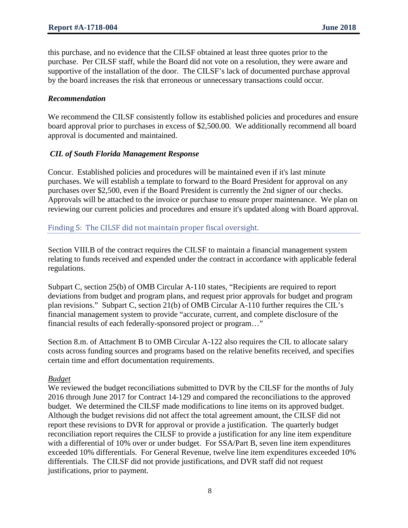this purchase, and no evidence that the CILSF obtained at least three quotes prior to the purchase. Per CILSF staff, while the Board did not vote on a resolution, they were aware and supportive of the installation of the door. The CILSF's lack of documented purchase approval by the board increases the risk that erroneous or unnecessary transactions could occur.

#### *Recommendation*

We recommend the CILSF consistently follow its established policies and procedures and ensure board approval prior to purchases in excess of \$2,500.00. We additionally recommend all board approval is documented and maintained.

#### *CIL of South Florida Management Response*

Concur. Established policies and procedures will be maintained even if it's last minute purchases. We will establish a template to forward to the Board President for approval on any purchases over \$2,500, even if the Board President is currently the 2nd signer of our checks. Approvals will be attached to the invoice or purchase to ensure proper maintenance. We plan on reviewing our current policies and procedures and ensure it's updated along with Board approval.

#### Finding 5: The CILSF did not maintain proper fiscal oversight.

Section VIII.B of the contract requires the CILSF to maintain a financial management system relating to funds received and expended under the contract in accordance with applicable federal regulations.

Subpart C, section 25(b) of OMB Circular A-110 states, "Recipients are required to report deviations from budget and program plans, and request prior approvals for budget and program plan revisions." Subpart C, section 21(b) of OMB Circular A-110 further requires the CIL's financial management system to provide "accurate, current, and complete disclosure of the financial results of each federally-sponsored project or program…"

Section 8.m. of Attachment B to OMB Circular A-122 also requires the CIL to allocate salary costs across funding sources and programs based on the relative benefits received, and specifies certain time and effort documentation requirements.

#### *Budget*

We reviewed the budget reconciliations submitted to DVR by the CILSF for the months of July 2016 through June 2017 for Contract 14-129 and compared the reconciliations to the approved budget. We determined the CILSF made modifications to line items on its approved budget. Although the budget revisions did not affect the total agreement amount, the CILSF did not report these revisions to DVR for approval or provide a justification. The quarterly budget reconciliation report requires the CILSF to provide a justification for any line item expenditure with a differential of 10% over or under budget. For SSA/Part B, seven line item expenditures exceeded 10% differentials. For General Revenue, twelve line item expenditures exceeded 10% differentials. The CILSF did not provide justifications, and DVR staff did not request justifications, prior to payment.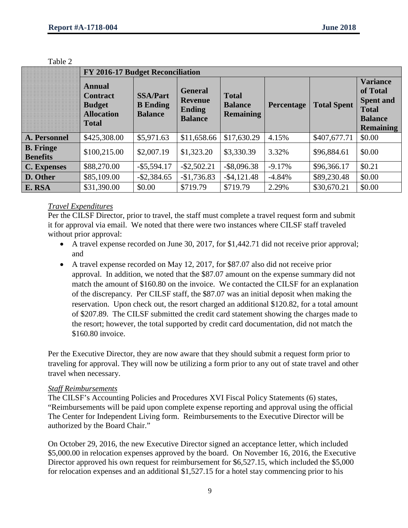|                                     | FY 2016-17 Budget Reconciliation                                                |                                                      |                                                                     |                                                    |            |                    |                                                                                                       |  |  |  |
|-------------------------------------|---------------------------------------------------------------------------------|------------------------------------------------------|---------------------------------------------------------------------|----------------------------------------------------|------------|--------------------|-------------------------------------------------------------------------------------------------------|--|--|--|
|                                     | Annual<br><b>Contract</b><br><b>Budget</b><br><b>Allocation</b><br><b>Total</b> | <b>SSA/Part</b><br><b>B</b> Ending<br><b>Balance</b> | <b>General</b><br><b>Revenue</b><br><b>Ending</b><br><b>Balance</b> | <b>Total</b><br><b>Balance</b><br><b>Remaining</b> | Percentage | <b>Total Spent</b> | <b>Variance</b><br>of Total<br><b>Spent and</b><br><b>Total</b><br><b>Balance</b><br><b>Remaining</b> |  |  |  |
| A. Personnel                        | \$425,308.00                                                                    | \$5,971.63                                           | \$11,658.66                                                         | \$17,630.29                                        | 4.15%      | \$407,677.71       | \$0.00                                                                                                |  |  |  |
| <b>B.</b> Fringe<br><b>Benefits</b> | \$100,215.00                                                                    | \$2,007.19                                           | \$1,323.20                                                          | \$3,330.39                                         | 3.32%      | \$96,884.61        | \$0.00                                                                                                |  |  |  |
| <b>C.</b> Expenses                  | \$88,270.00                                                                     | $-$ \$5,594.17                                       | $-$ \$2,502.21                                                      | $-$ \$8,096.38                                     | $-9.17%$   | \$96,366.17        | \$0.21                                                                                                |  |  |  |
| D. Other                            | \$85,109.00                                                                     | $-$ \$2,384.65                                       | $-$1,736.83$                                                        | $-$ \$4,121.48                                     | $-4.84%$   | \$89,230.48        | \$0.00                                                                                                |  |  |  |
| E. RSA                              | \$31,390.00                                                                     | \$0.00                                               | \$719.79                                                            | \$719.79                                           | 2.29%      | \$30,670.21        | \$0.00                                                                                                |  |  |  |

Table 2

#### *Travel Expenditures*

Per the CILSF Director, prior to travel, the staff must complete a travel request form and submit it for approval via email. We noted that there were two instances where CILSF staff traveled without prior approval:

- A travel expense recorded on June 30, 2017, for \$1,442.71 did not receive prior approval; and
- A travel expense recorded on May 12, 2017, for \$87.07 also did not receive prior approval. In addition, we noted that the \$87.07 amount on the expense summary did not match the amount of \$160.80 on the invoice. We contacted the CILSF for an explanation of the discrepancy. Per CILSF staff, the \$87.07 was an initial deposit when making the reservation. Upon check out, the resort charged an additional \$120.82, for a total amount of \$207.89. The CILSF submitted the credit card statement showing the charges made to the resort; however, the total supported by credit card documentation, did not match the \$160.80 invoice.

Per the Executive Director, they are now aware that they should submit a request form prior to traveling for approval. They will now be utilizing a form prior to any out of state travel and other travel when necessary.

#### *Staff Reimbursements*

The CILSF's Accounting Policies and Procedures XVI Fiscal Policy Statements (6) states, "Reimbursements will be paid upon complete expense reporting and approval using the official The Center for Independent Living form. Reimbursements to the Executive Director will be authorized by the Board Chair."

On October 29, 2016, the new Executive Director signed an acceptance letter, which included \$5,000.00 in relocation expenses approved by the board. On November 16, 2016, the Executive Director approved his own request for reimbursement for \$6,527.15, which included the \$5,000 for relocation expenses and an additional \$1,527.15 for a hotel stay commencing prior to his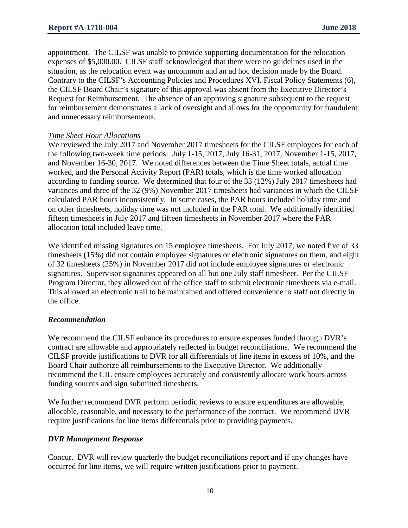appointment. The CILSF was unable to provide supporting documentation for the relocation expenses of \$5,000.00. CILSF staff acknowledged that there were no guidelines used in the situation, as the relocation event was uncommon and an ad hoc decision made by the Board. Contrary to the CILSF's Accounting Policies and Procedures XVI. Fiscal Policy Statements (6), the CILSF Board Chair's signature of this approval was absent from the Executive Director's Request for Reimbursement. The absence of an approving signature subsequent to the request for reimbursement demonstrates a lack of oversight and allows for the opportunity for fraudulent and unnecessary reimbursements.

#### *Time Sheet Hour Allocations*

We reviewed the July 2017 and November 2017 timesheets for the CILSF employees for each of the following two-week time periods: July 1-15, 2017, July 16-31, 2017, November 1-15, 2017, and November 16-30, 2017. We noted differences between the Time Sheet totals, actual time worked, and the Personal Activity Report (PAR) totals, which is the time worked allocation according to funding source. We determined that four of the 33 (12%) July 2017 timesheets had variances and three of the 32 (9%) November 2017 timesheets had variances in which the CILSF calculated PAR hours inconsistently. In some cases, the PAR hours included holiday time and on other timesheets, holiday time was not included in the PAR total. We additionally identified fifteen timesheets in July 2017 and fifteen timesheets in November 2017 where the PAR allocation total included leave time.

We identified missing signatures on 15 employee timesheets. For July 2017, we noted five of 33 timesheets (15%) did not contain employee signatures or electronic signatures on them, and eight of 32 timesheets (25%) in November 2017 did not include employee signatures or electronic signatures. Supervisor signatures appeared on all but one July staff timesheet. Per the CILSF Program Director, they allowed out of the office staff to submit electronic timesheets via e-mail. This allowed an electronic trail to be maintained and offered convenience to staff not directly in the office.

#### *Recommendation*

We recommend the CILSF enhance its procedures to ensure expenses funded through DVR's contract are allowable and appropriately reflected in budget reconciliations. We recommend the CILSF provide justifications to DVR for all differentials of line items in excess of 10%, and the Board Chair authorize all reimbursements to the Executive Director. We additionally recommend the CIL ensure employees accurately and consistently allocate work hours across funding sources and sign submitted timesheets.

We further recommend DVR perform periodic reviews to ensure expenditures are allowable, allocable, reasonable, and necessary to the performance of the contract. We recommend DVR require justifications for line items differentials prior to providing payments.

#### *DVR Management Response*

Concur. DVR will review quarterly the budget reconciliations report and if any changes have occurred for line items, we will require written justifications prior to payment.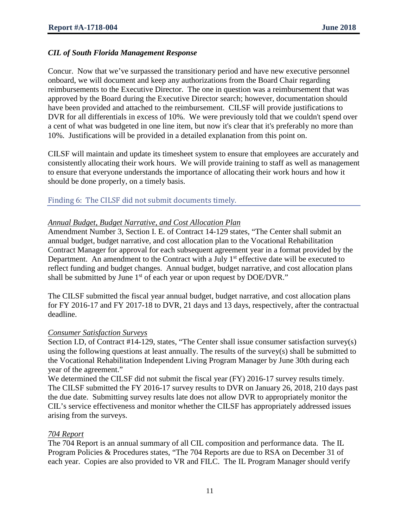## *CIL of South Florida Management Response*

Concur. Now that we've surpassed the transitionary period and have new executive personnel onboard, we will document and keep any authorizations from the Board Chair regarding reimbursements to the Executive Director. The one in question was a reimbursement that was approved by the Board during the Executive Director search; however, documentation should have been provided and attached to the reimbursement. CILSF will provide justifications to DVR for all differentials in excess of 10%. We were previously told that we couldn't spend over a cent of what was budgeted in one line item, but now it's clear that it's preferably no more than 10%. Justifications will be provided in a detailed explanation from this point on.

CILSF will maintain and update its timesheet system to ensure that employees are accurately and consistently allocating their work hours. We will provide training to staff as well as management to ensure that everyone understands the importance of allocating their work hours and how it should be done properly, on a timely basis.

Finding 6: The CILSF did not submit documents timely.

#### *Annual Budget, Budget Narrative, and Cost Allocation Plan*

Amendment Number 3, Section I. E. of Contract 14-129 states, "The Center shall submit an annual budget, budget narrative, and cost allocation plan to the Vocational Rehabilitation Contract Manager for approval for each subsequent agreement year in a format provided by the Department. An amendment to the Contract with a July  $1<sup>st</sup>$  effective date will be executed to reflect funding and budget changes. Annual budget, budget narrative, and cost allocation plans shall be submitted by June  $1<sup>st</sup>$  of each year or upon request by DOE/DVR."

The CILSF submitted the fiscal year annual budget, budget narrative, and cost allocation plans for FY 2016-17 and FY 2017-18 to DVR, 21 days and 13 days, respectively, after the contractual deadline.

#### *Consumer Satisfaction Surveys*

Section I.D, of Contract #14-129, states, "The Center shall issue consumer satisfaction survey(s) using the following questions at least annually. The results of the survey(s) shall be submitted to the Vocational Rehabilitation Independent Living Program Manager by June 30th during each year of the agreement."

We determined the CILSF did not submit the fiscal year (FY) 2016-17 survey results timely. The CILSF submitted the FY 2016-17 survey results to DVR on January 26, 2018, 210 days past the due date. Submitting survey results late does not allow DVR to appropriately monitor the CIL's service effectiveness and monitor whether the CILSF has appropriately addressed issues arising from the surveys.

#### *704 Report*

The 704 Report is an annual summary of all CIL composition and performance data. The IL Program Policies & Procedures states, "The 704 Reports are due to RSA on December 31 of each year. Copies are also provided to VR and FILC. The IL Program Manager should verify